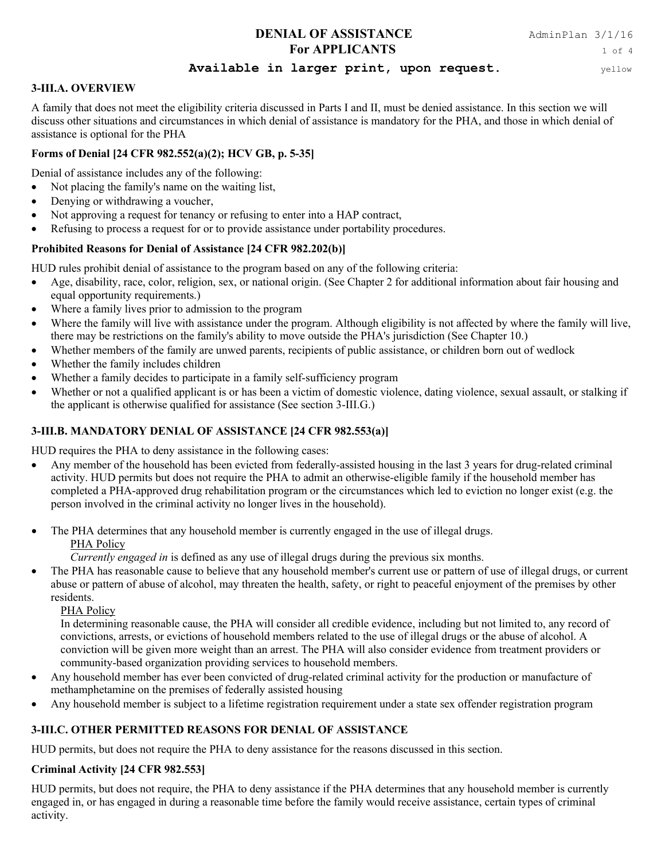# **DENIAL OF ASSISTANCE** AdminPlan 3/1/16 **For APPLICANTS** 1 of 4

# **Available in larger print, upon request.** yellow

## **3-III.A. OVERVIEW**

A family that does not meet the eligibility criteria discussed in Parts I and II, must be denied assistance. In this section we will discuss other situations and circumstances in which denial of assistance is mandatory for the PHA, and those in which denial of assistance is optional for the PHA

## **Forms of Denial [24 CFR 982.552(a)(2); HCV GB, p. 5-35]**

Denial of assistance includes any of the following:

- Not placing the family's name on the waiting list,
- Denving or withdrawing a voucher,
- Not approving a request for tenancy or refusing to enter into a HAP contract,
- Refusing to process a request for or to provide assistance under portability procedures.

## **Prohibited Reasons for Denial of Assistance [24 CFR 982.202(b)]**

HUD rules prohibit denial of assistance to the program based on any of the following criteria:

- Age, disability, race, color, religion, sex, or national origin. (See Chapter 2 for additional information about fair housing and equal opportunity requirements.)
- Where a family lives prior to admission to the program
- Where the family will live with assistance under the program. Although eligibility is not affected by where the family will live, there may be restrictions on the family's ability to move outside the PHA's jurisdiction (See Chapter 10.)
- Whether members of the family are unwed parents, recipients of public assistance, or children born out of wedlock
- Whether the family includes children
- Whether a family decides to participate in a family self-sufficiency program
- Whether or not a qualified applicant is or has been a victim of domestic violence, dating violence, sexual assault, or stalking if the applicant is otherwise qualified for assistance (See section 3-III.G.)

## **3-III.B. MANDATORY DENIAL OF ASSISTANCE [24 CFR 982.553(a)]**

HUD requires the PHA to deny assistance in the following cases:

- Any member of the household has been evicted from federally-assisted housing in the last 3 years for drug-related criminal activity. HUD permits but does not require the PHA to admit an otherwise-eligible family if the household member has completed a PHA-approved drug rehabilitation program or the circumstances which led to eviction no longer exist (e.g. the person involved in the criminal activity no longer lives in the household).
- The PHA determines that any household member is currently engaged in the use of illegal drugs. PHA Policy
	- *Currently engaged in* is defined as any use of illegal drugs during the previous six months.
- The PHA has reasonable cause to believe that any household member's current use or pattern of use of illegal drugs, or current abuse or pattern of abuse of alcohol, may threaten the health, safety, or right to peaceful enjoyment of the premises by other residents.

### PHA Policy

In determining reasonable cause, the PHA will consider all credible evidence, including but not limited to, any record of convictions, arrests, or evictions of household members related to the use of illegal drugs or the abuse of alcohol. A conviction will be given more weight than an arrest. The PHA will also consider evidence from treatment providers or community-based organization providing services to household members.

- Any household member has ever been convicted of drug-related criminal activity for the production or manufacture of methamphetamine on the premises of federally assisted housing
- Any household member is subject to a lifetime registration requirement under a state sex offender registration program

## **3-III.C. OTHER PERMITTED REASONS FOR DENIAL OF ASSISTANCE**

HUD permits, but does not require the PHA to deny assistance for the reasons discussed in this section.

### **Criminal Activity [24 CFR 982.553]**

HUD permits, but does not require, the PHA to deny assistance if the PHA determines that any household member is currently engaged in, or has engaged in during a reasonable time before the family would receive assistance, certain types of criminal activity.